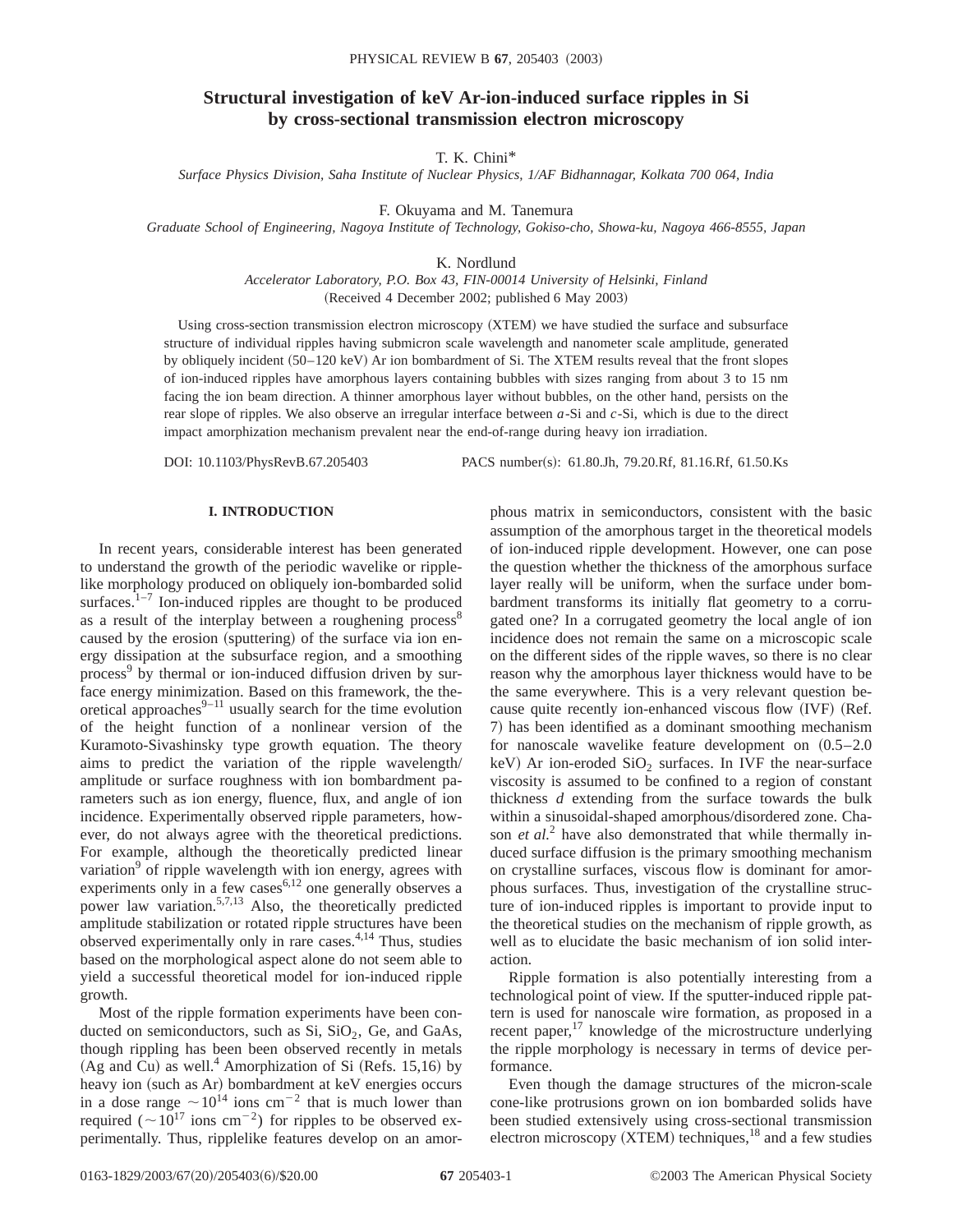# **Structural investigation of keV Ar-ion-induced surface ripples in Si by cross-sectional transmission electron microscopy**

T. K. Chini\*

*Surface Physics Division, Saha Institute of Nuclear Physics, 1/AF Bidhannagar, Kolkata 700 064, India*

F. Okuyama and M. Tanemura

*Graduate School of Engineering, Nagoya Institute of Technology, Gokiso-cho, Showa-ku, Nagoya 466-8555, Japan*

K. Nordlund

*Accelerator Laboratory, P.O. Box 43, FIN-00014 University of Helsinki, Finland* (Received 4 December 2002; published 6 May 2003)

Using cross-section transmission electron microscopy (XTEM) we have studied the surface and subsurface structure of individual ripples having submicron scale wavelength and nanometer scale amplitude, generated by obliquely incident (50–120 keV) Ar ion bombardment of Si. The XTEM results reveal that the front slopes of ion-induced ripples have amorphous layers containing bubbles with sizes ranging from about 3 to 15 nm facing the ion beam direction. A thinner amorphous layer without bubbles, on the other hand, persists on the rear slope of ripples. We also observe an irregular interface between *a*-Si and *c*-Si, which is due to the direct impact amorphization mechanism prevalent near the end-of-range during heavy ion irradiation.

DOI: 10.1103/PhysRevB.67.205403 PACS number(s): 61.80.Jh, 79.20.Rf, 81.16.Rf, 61.50.Ks

## **I. INTRODUCTION**

In recent years, considerable interest has been generated to understand the growth of the periodic wavelike or ripplelike morphology produced on obliquely ion-bombarded solid surfaces. $1-7$  Ion-induced ripples are thought to be produced as a result of the interplay between a roughening process<sup>8</sup> caused by the erosion (sputtering) of the surface via ion energy dissipation at the subsurface region, and a smoothing process<sup>9</sup> by thermal or ion-induced diffusion driven by surface energy minimization. Based on this framework, the theoretical approaches $9-11$  usually search for the time evolution of the height function of a nonlinear version of the Kuramoto-Sivashinsky type growth equation. The theory aims to predict the variation of the ripple wavelength/ amplitude or surface roughness with ion bombardment parameters such as ion energy, fluence, flux, and angle of ion incidence. Experimentally observed ripple parameters, however, do not always agree with the theoretical predictions. For example, although the theoretically predicted linear variation<sup>9</sup> of ripple wavelength with ion energy, agrees with experiments only in a few cases $6,12$  one generally observes a power law variation.<sup>5,7,13</sup> Also, the theoretically predicted amplitude stabilization or rotated ripple structures have been observed experimentally only in rare cases. $4,14$  Thus, studies based on the morphological aspect alone do not seem able to yield a successful theoretical model for ion-induced ripple growth.

Most of the ripple formation experiments have been conducted on semiconductors, such as  $Si$ ,  $SiO<sub>2</sub>$ , Ge, and GaAs, though rippling has been been observed recently in metals (Ag and Cu) as well.<sup>4</sup> Amorphization of Si (Refs. 15,16) by heavy ion (such as Ar) bombardment at keV energies occurs in a dose range  $\sim 10^{14}$  ions cm<sup>-2</sup> that is much lower than required ( $\sim 10^{17}$  ions cm<sup>-2</sup>) for ripples to be observed experimentally. Thus, ripplelike features develop on an amorphous matrix in semiconductors, consistent with the basic assumption of the amorphous target in the theoretical models of ion-induced ripple development. However, one can pose the question whether the thickness of the amorphous surface layer really will be uniform, when the surface under bombardment transforms its initially flat geometry to a corrugated one? In a corrugated geometry the local angle of ion incidence does not remain the same on a microscopic scale on the different sides of the ripple waves, so there is no clear reason why the amorphous layer thickness would have to be the same everywhere. This is a very relevant question because quite recently ion-enhanced viscous flow (IVF) (Ref. 7) has been identified as a dominant smoothing mechanism for nanoscale wavelike feature development on  $(0.5-2.0$ keV) Ar ion-eroded  $SiO<sub>2</sub>$  surfaces. In IVF the near-surface viscosity is assumed to be confined to a region of constant thickness *d* extending from the surface towards the bulk within a sinusoidal-shaped amorphous/disordered zone. Chason *et al.*<sup>2</sup> have also demonstrated that while thermally induced surface diffusion is the primary smoothing mechanism on crystalline surfaces, viscous flow is dominant for amorphous surfaces. Thus, investigation of the crystalline structure of ion-induced ripples is important to provide input to the theoretical studies on the mechanism of ripple growth, as well as to elucidate the basic mechanism of ion solid interaction.

Ripple formation is also potentially interesting from a technological point of view. If the sputter-induced ripple pattern is used for nanoscale wire formation, as proposed in a recent paper, $17$  knowledge of the microstructure underlying the ripple morphology is necessary in terms of device performance.

Even though the damage structures of the micron-scale cone-like protrusions grown on ion bombarded solids have been studied extensively using cross-sectional transmission electron microscopy  $(XTEM)$  techniques,<sup>18</sup> and a few studies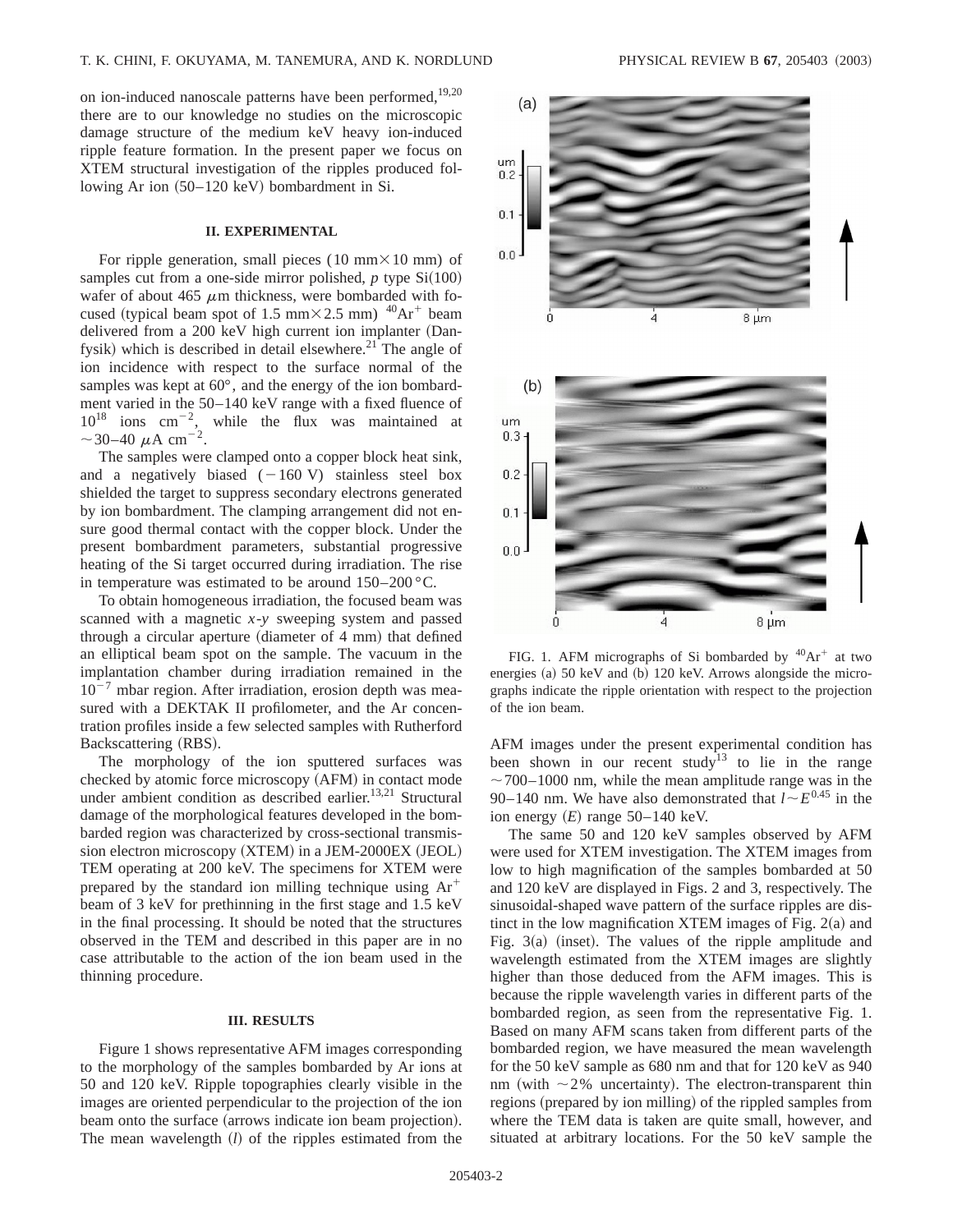on ion-induced nanoscale patterns have been performed,<sup>19,20</sup> there are to our knowledge no studies on the microscopic damage structure of the medium keV heavy ion-induced ripple feature formation. In the present paper we focus on XTEM structural investigation of the ripples produced following Ar ion  $(50-120 \text{ keV})$  bombardment in Si.

## **II. EXPERIMENTAL**

For ripple generation, small pieces (10 mm $\times$ 10 mm) of samples cut from a one-side mirror polished,  $p$  type  $Si(100)$ wafer of about 465  $\mu$ m thickness, were bombarded with focused (typical beam spot of 1.5 mm $\times$  2.5 mm)  $^{40}Ar^+$  beam delivered from a 200 keV high current ion implanter (Danfysik) which is described in detail elsewhere.<sup>21</sup> The angle of ion incidence with respect to the surface normal of the samples was kept at 60°, and the energy of the ion bombardment varied in the 50–140 keV range with a fixed fluence of  $10^{18}$  ions cm<sup>-2</sup>, while the flux was maintained at  $\sim$ 30–40  $\mu$ A cm<sup>-2</sup>.

The samples were clamped onto a copper block heat sink, and a negatively biased  $(-160 \text{ V})$  stainless steel box shielded the target to suppress secondary electrons generated by ion bombardment. The clamping arrangement did not ensure good thermal contact with the copper block. Under the present bombardment parameters, substantial progressive heating of the Si target occurred during irradiation. The rise in temperature was estimated to be around  $150-200$  °C.

To obtain homogeneous irradiation, the focused beam was scanned with a magnetic *x*-*y* sweeping system and passed through a circular aperture (diameter of  $4 \text{ mm}$ ) that defined an elliptical beam spot on the sample. The vacuum in the implantation chamber during irradiation remained in the  $10^{-7}$  mbar region. After irradiation, erosion depth was measured with a DEKTAK II profilometer, and the Ar concentration profiles inside a few selected samples with Rutherford Backscattering (RBS).

The morphology of the ion sputtered surfaces was checked by atomic force microscopy (AFM) in contact mode under ambient condition as described earlier.<sup>13,21</sup> Structural damage of the morphological features developed in the bombarded region was characterized by cross-sectional transmission electron microscopy (XTEM) in a JEM-2000EX (JEOL) TEM operating at 200 keV. The specimens for XTEM were prepared by the standard ion milling technique using  $Ar^+$ beam of 3 keV for prethinning in the first stage and 1.5 keV in the final processing. It should be noted that the structures observed in the TEM and described in this paper are in no case attributable to the action of the ion beam used in the thinning procedure.

#### **III. RESULTS**

Figure 1 shows representative AFM images corresponding to the morphology of the samples bombarded by Ar ions at 50 and 120 keV. Ripple topographies clearly visible in the images are oriented perpendicular to the projection of the ion beam onto the surface (arrows indicate ion beam projection). The mean wavelength (*l*) of the ripples estimated from the



FIG. 1. AFM micrographs of Si bombarded by  ${}^{40}Ar^+$  at two energies  $(a)$  50 keV and  $(b)$  120 keV. Arrows alongside the micrographs indicate the ripple orientation with respect to the projection of the ion beam.

AFM images under the present experimental condition has been shown in our recent study<sup>13</sup> to lie in the range  $\sim$  700–1000 nm, while the mean amplitude range was in the 90–140 nm. We have also demonstrated that  $l \sim E^{0.45}$  in the ion energy  $(E)$  range 50–140 keV.

The same 50 and 120 keV samples observed by AFM were used for XTEM investigation. The XTEM images from low to high magnification of the samples bombarded at 50 and 120 keV are displayed in Figs. 2 and 3, respectively. The sinusoidal-shaped wave pattern of the surface ripples are distinct in the low magnification XTEM images of Fig.  $2(a)$  and Fig.  $3(a)$  (inset). The values of the ripple amplitude and wavelength estimated from the XTEM images are slightly higher than those deduced from the AFM images. This is because the ripple wavelength varies in different parts of the bombarded region, as seen from the representative Fig. 1. Based on many AFM scans taken from different parts of the bombarded region, we have measured the mean wavelength for the 50 keV sample as 680 nm and that for 120 keV as 940 nm (with  $\sim$ 2% uncertainty). The electron-transparent thin regions (prepared by ion milling) of the rippled samples from where the TEM data is taken are quite small, however, and situated at arbitrary locations. For the 50 keV sample the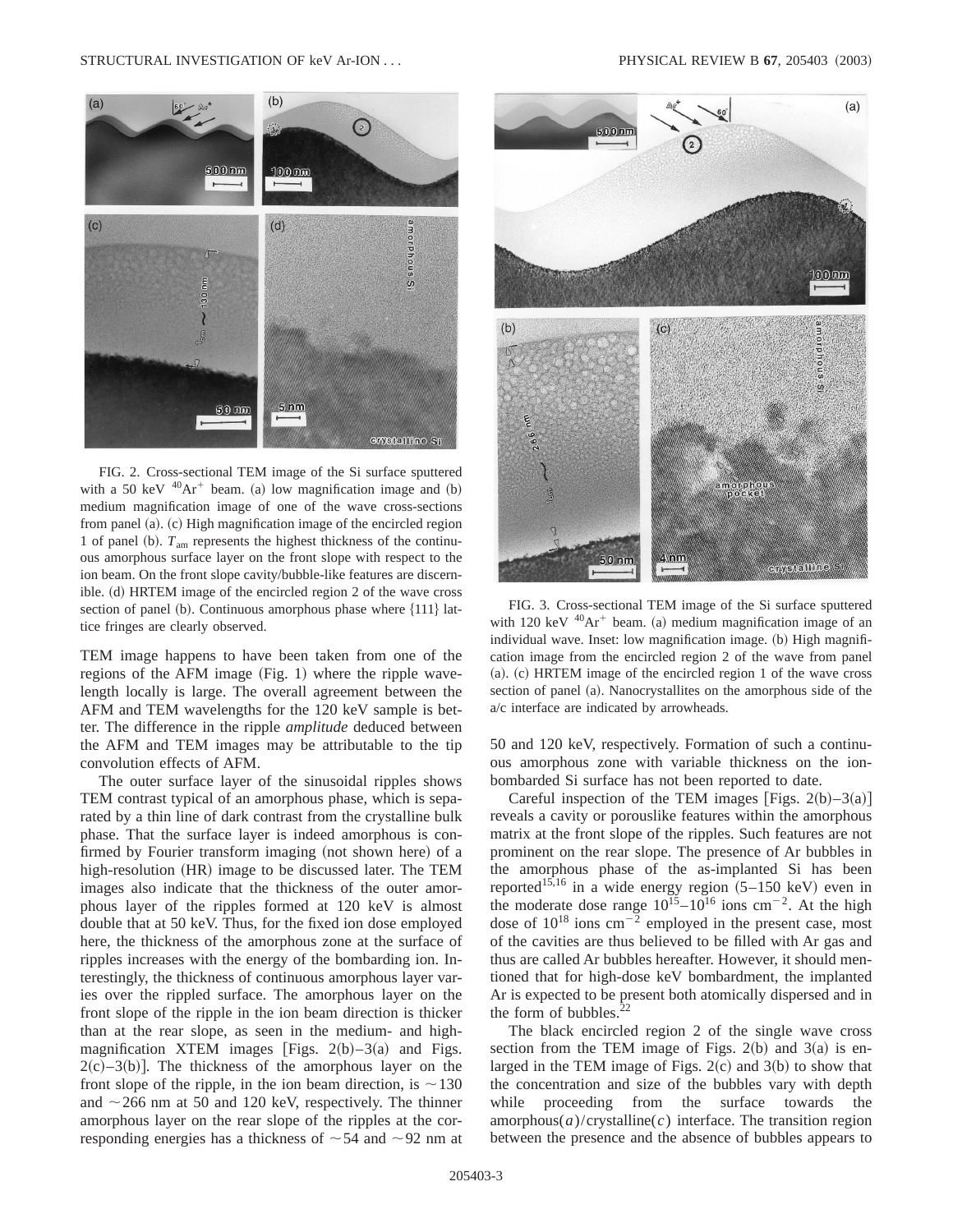

FIG. 2. Cross-sectional TEM image of the Si surface sputtered with a 50 keV  $^{40}Ar^{+}$  beam. (a) low magnification image and (b) medium magnification image of one of the wave cross-sections from panel (a).  $(c)$  High magnification image of the encircled region 1 of panel (b).  $T_{am}$  represents the highest thickness of the continuous amorphous surface layer on the front slope with respect to the ion beam. On the front slope cavity/bubble-like features are discernible. (d) HRTEM image of the encircled region 2 of the wave cross section of panel (b). Continuous amorphous phase where  $\{111\}$  lattice fringes are clearly observed.

TEM image happens to have been taken from one of the regions of the AFM image  $(Fig. 1)$  where the ripple wavelength locally is large. The overall agreement between the AFM and TEM wavelengths for the 120 keV sample is better. The difference in the ripple *amplitude* deduced between the AFM and TEM images may be attributable to the tip convolution effects of AFM.

The outer surface layer of the sinusoidal ripples shows TEM contrast typical of an amorphous phase, which is separated by a thin line of dark contrast from the crystalline bulk phase. That the surface layer is indeed amorphous is confirmed by Fourier transform imaging (not shown here) of a high-resolution (HR) image to be discussed later. The TEM images also indicate that the thickness of the outer amorphous layer of the ripples formed at 120 keV is almost double that at 50 keV. Thus, for the fixed ion dose employed here, the thickness of the amorphous zone at the surface of ripples increases with the energy of the bombarding ion. Interestingly, the thickness of continuous amorphous layer varies over the rippled surface. The amorphous layer on the front slope of the ripple in the ion beam direction is thicker than at the rear slope, as seen in the medium- and highmagnification XTEM images [Figs.  $2(b) - 3(a)$  and Figs.  $2(c)$ –3(b)]. The thickness of the amorphous layer on the front slope of the ripple, in the ion beam direction, is  $\sim$ 130 and  $\sim$  266 nm at 50 and 120 keV, respectively. The thinner amorphous layer on the rear slope of the ripples at the corresponding energies has a thickness of  $\sim$  54 and  $\sim$  92 nm at



FIG. 3. Cross-sectional TEM image of the Si surface sputtered with 120 keV  $^{40}Ar^{+}$  beam. (a) medium magnification image of an individual wave. Inset: low magnification image. (b) High magnification image from the encircled region 2 of the wave from panel  $(a)$ .  $(c)$  HRTEM image of the encircled region 1 of the wave cross section of panel (a). Nanocrystallites on the amorphous side of the a/c interface are indicated by arrowheads.

50 and 120 keV, respectively. Formation of such a continuous amorphous zone with variable thickness on the ionbombarded Si surface has not been reported to date.

Careful inspection of the TEM images [Figs. 2(b)–3(a)] reveals a cavity or porouslike features within the amorphous matrix at the front slope of the ripples. Such features are not prominent on the rear slope. The presence of Ar bubbles in the amorphous phase of the as-implanted Si has been reported<sup>15,16</sup> in a wide energy region  $(5-150 \text{ keV})$  even in the moderate dose range  $10^{15} - 10^{16}$  ions cm<sup>-2</sup>. At the high dose of  $10^{18}$  ions cm<sup>-2</sup> employed in the present case, most of the cavities are thus believed to be filled with Ar gas and thus are called Ar bubbles hereafter. However, it should mentioned that for high-dose keV bombardment, the implanted Ar is expected to be present both atomically dispersed and in the form of bubbles. $^{22}$ 

The black encircled region 2 of the single wave cross section from the TEM image of Figs.  $2(b)$  and  $3(a)$  is enlarged in the TEM image of Figs.  $2(c)$  and  $3(b)$  to show that the concentration and size of the bubbles vary with depth while proceeding from the surface towards the  $amorphous(a)/crystalline(c)$  interface. The transition region between the presence and the absence of bubbles appears to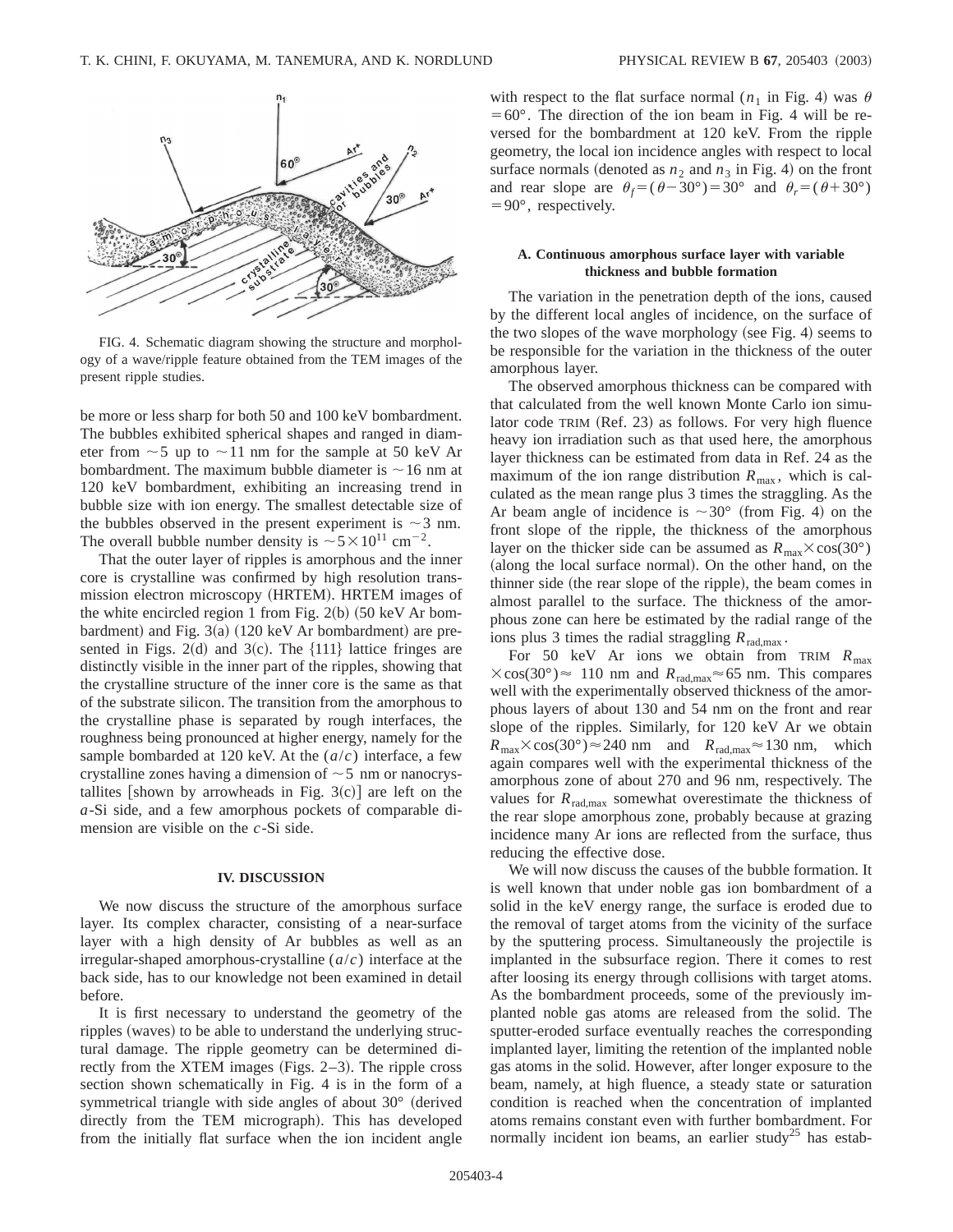

FIG. 4. Schematic diagram showing the structure and morphology of a wave/ripple feature obtained from the TEM images of the present ripple studies.

be more or less sharp for both 50 and 100 keV bombardment. The bubbles exhibited spherical shapes and ranged in diameter from  $\sim$  5 up to  $\sim$  11 nm for the sample at 50 keV Ar bombardment. The maximum bubble diameter is  $\sim$  16 nm at 120 keV bombardment, exhibiting an increasing trend in bubble size with ion energy. The smallest detectable size of the bubbles observed in the present experiment is  $\sim$  3 nm. The overall bubble number density is  $\sim 5 \times 10^{11}$  cm<sup>-2</sup>.

That the outer layer of ripples is amorphous and the inner core is crystalline was confirmed by high resolution transmission electron microscopy (HRTEM). HRTEM images of the white encircled region 1 from Fig.  $2(b)$  (50 keV Ar bombardment) and Fig.  $3(a)$  (120 keV Ar bombardment) are presented in Figs. 2(d) and 3(c). The  $\{111\}$  lattice fringes are distinctly visible in the inner part of the ripples, showing that the crystalline structure of the inner core is the same as that of the substrate silicon. The transition from the amorphous to the crystalline phase is separated by rough interfaces, the roughness being pronounced at higher energy, namely for the sample bombarded at 120 keV. At the (*a*/*c*) interface, a few crystalline zones having a dimension of  $\sim$  5 nm or nanocrystallites [shown by arrowheads in Fig. 3(c)] are left on the *a*-Si side, and a few amorphous pockets of comparable dimension are visible on the *c*-Si side.

#### **IV. DISCUSSION**

We now discuss the structure of the amorphous surface layer. Its complex character, consisting of a near-surface layer with a high density of Ar bubbles as well as an irregular-shaped amorphous-crystalline (*a*/*c*) interface at the back side, has to our knowledge not been examined in detail before.

It is first necessary to understand the geometry of the ripples (waves) to be able to understand the underlying structural damage. The ripple geometry can be determined directly from the XTEM images (Figs.  $2-3$ ). The ripple cross section shown schematically in Fig. 4 is in the form of a symmetrical triangle with side angles of about  $30^{\circ}$  (derived directly from the TEM micrograph). This has developed from the initially flat surface when the ion incident angle with respect to the flat surface normal  $(n_1$  in Fig. 4) was  $\theta$  $=60^{\circ}$ . The direction of the ion beam in Fig. 4 will be reversed for the bombardment at 120 keV. From the ripple geometry, the local ion incidence angles with respect to local surface normals (denoted as  $n_2$  and  $n_3$  in Fig. 4) on the front and rear slope are  $\theta_f = (\theta - 30^\circ) = 30^\circ$  and  $\theta_r = (\theta + 30^\circ)$  $=90^{\circ}$ , respectively.

## **A. Continuous amorphous surface layer with variable thickness and bubble formation**

The variation in the penetration depth of the ions, caused by the different local angles of incidence, on the surface of the two slopes of the wave morphology (see Fig. 4) seems to be responsible for the variation in the thickness of the outer amorphous layer.

The observed amorphous thickness can be compared with that calculated from the well known Monte Carlo ion simulator code TRIM (Ref. 23) as follows. For very high fluence heavy ion irradiation such as that used here, the amorphous layer thickness can be estimated from data in Ref. 24 as the maximum of the ion range distribution  $R_{\text{max}}$ , which is calculated as the mean range plus 3 times the straggling. As the Ar beam angle of incidence is  $\sim 30^{\circ}$  (from Fig. 4) on the front slope of the ripple, the thickness of the amorphous layer on the thicker side can be assumed as  $R_{\text{max}} \times \cos(30^{\circ})$ (along the local surface normal). On the other hand, on the thinner side (the rear slope of the ripple), the beam comes in almost parallel to the surface. The thickness of the amorphous zone can here be estimated by the radial range of the ions plus 3 times the radial straggling  $R_{\text{rad,max}}$ .

For 50 keV Ar ions we obtain from TRIM  $R_{\text{max}}$  $\times$ cos(30°)  $\approx$  110 nm and  $R_{rad,max}$  $\approx$  65 nm. This compares well with the experimentally observed thickness of the amorphous layers of about 130 and 54 nm on the front and rear slope of the ripples. Similarly, for 120 keV Ar we obtain  $R_{\text{max}} \times \cos(30^\circ) \approx 240 \text{ nm}$  and  $R_{\text{rad,max}} \approx 130 \text{ nm}$ , which again compares well with the experimental thickness of the amorphous zone of about 270 and 96 nm, respectively. The values for  $R_{rad, max}$  somewhat overestimate the thickness of the rear slope amorphous zone, probably because at grazing incidence many Ar ions are reflected from the surface, thus reducing the effective dose.

We will now discuss the causes of the bubble formation. It is well known that under noble gas ion bombardment of a solid in the keV energy range, the surface is eroded due to the removal of target atoms from the vicinity of the surface by the sputtering process. Simultaneously the projectile is implanted in the subsurface region. There it comes to rest after loosing its energy through collisions with target atoms. As the bombardment proceeds, some of the previously implanted noble gas atoms are released from the solid. The sputter-eroded surface eventually reaches the corresponding implanted layer, limiting the retention of the implanted noble gas atoms in the solid. However, after longer exposure to the beam, namely, at high fluence, a steady state or saturation condition is reached when the concentration of implanted atoms remains constant even with further bombardment. For normally incident ion beams, an earlier study<sup>25</sup> has estab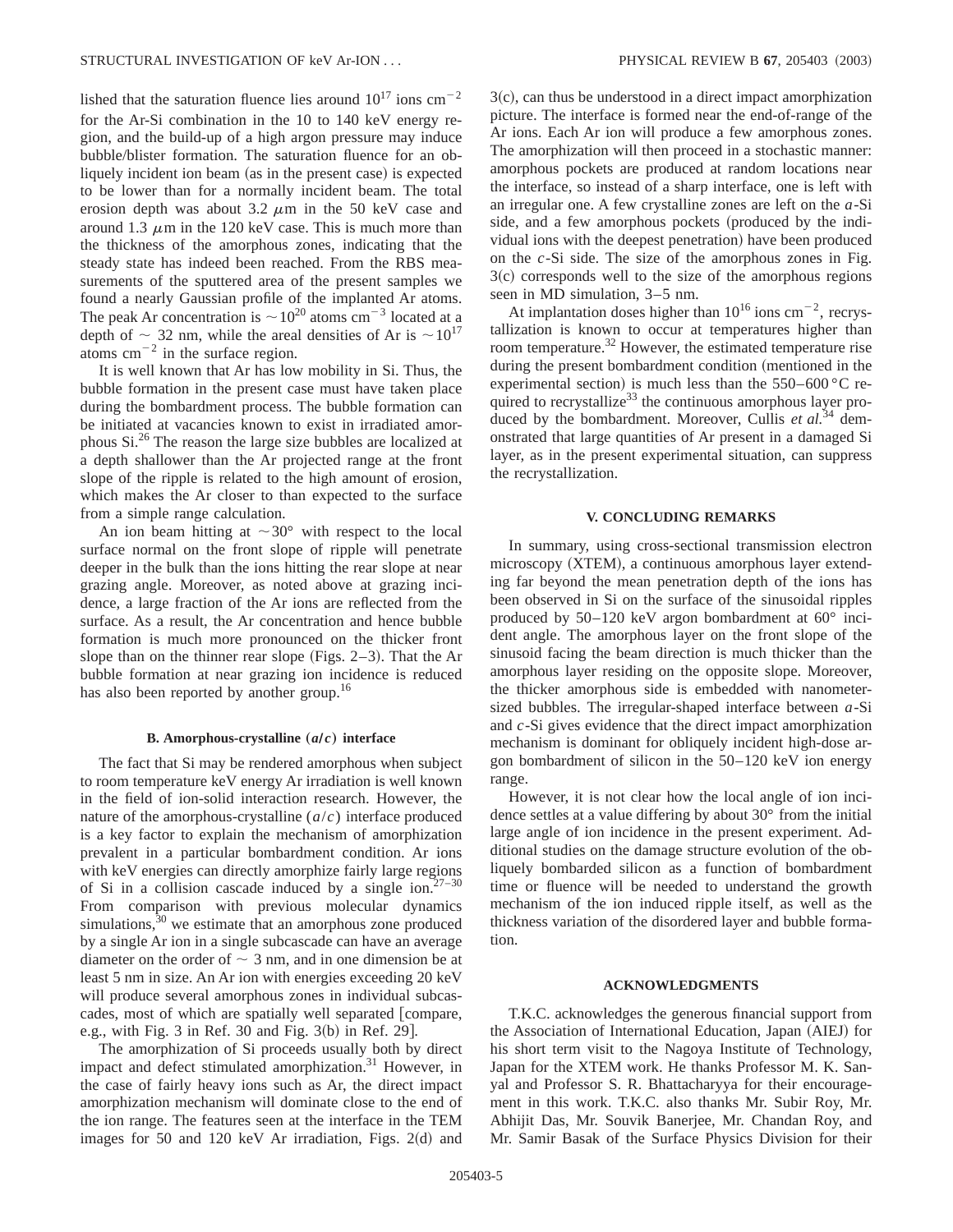lished that the saturation fluence lies around  $10^{17}$  ions cm<sup>-2</sup> for the Ar-Si combination in the 10 to 140 keV energy region, and the build-up of a high argon pressure may induce bubble/blister formation. The saturation fluence for an obliquely incident ion beam (as in the present case) is expected to be lower than for a normally incident beam. The total erosion depth was about 3.2  $\mu$ m in the 50 keV case and around 1.3  $\mu$ m in the 120 keV case. This is much more than the thickness of the amorphous zones, indicating that the steady state has indeed been reached. From the RBS measurements of the sputtered area of the present samples we found a nearly Gaussian profile of the implanted Ar atoms. The peak Ar concentration is  $\sim 10^{20}$  atoms cm<sup>-3</sup> located at a depth of  $\sim$  32 nm, while the areal densities of Ar is  $\sim$  10<sup>17</sup> atoms  $cm^{-2}$  in the surface region.

It is well known that Ar has low mobility in Si. Thus, the bubble formation in the present case must have taken place during the bombardment process. The bubble formation can be initiated at vacancies known to exist in irradiated amorphous Si.26 The reason the large size bubbles are localized at a depth shallower than the Ar projected range at the front slope of the ripple is related to the high amount of erosion, which makes the Ar closer to than expected to the surface from a simple range calculation.

An ion beam hitting at  $\sim 30^{\circ}$  with respect to the local surface normal on the front slope of ripple will penetrate deeper in the bulk than the ions hitting the rear slope at near grazing angle. Moreover, as noted above at grazing incidence, a large fraction of the Ar ions are reflected from the surface. As a result, the Ar concentration and hence bubble formation is much more pronounced on the thicker front slope than on the thinner rear slope (Figs.  $2-3$ ). That the Ar bubble formation at near grazing ion incidence is reduced has also been reported by another group.<sup>16</sup>

#### **B.** Amorphous-crystalline  $(a/c)$  interface

The fact that Si may be rendered amorphous when subject to room temperature keV energy Ar irradiation is well known in the field of ion-solid interaction research. However, the nature of the amorphous-crystalline (*a*/*c*) interface produced is a key factor to explain the mechanism of amorphization prevalent in a particular bombardment condition. Ar ions with keV energies can directly amorphize fairly large regions of Si in a collision cascade induced by a single ion.<sup>27-30</sup> From comparison with previous molecular dynamics simulations, $30$  we estimate that an amorphous zone produced by a single Ar ion in a single subcascade can have an average diameter on the order of  $\sim$  3 nm, and in one dimension be at least 5 nm in size. An Ar ion with energies exceeding 20 keV will produce several amorphous zones in individual subcascades, most of which are spatially well separated [compare, e.g., with Fig.  $3$  in Ref.  $30$  and Fig.  $3(b)$  in Ref. 29].

The amorphization of Si proceeds usually both by direct impact and defect stimulated amorphization.<sup>31</sup> However, in the case of fairly heavy ions such as Ar, the direct impact amorphization mechanism will dominate close to the end of the ion range. The features seen at the interface in the TEM images for 50 and 120 keV Ar irradiation, Figs.  $2(d)$  and

 $3(c)$ , can thus be understood in a direct impact amorphization picture. The interface is formed near the end-of-range of the Ar ions. Each Ar ion will produce a few amorphous zones. The amorphization will then proceed in a stochastic manner: amorphous pockets are produced at random locations near the interface, so instead of a sharp interface, one is left with an irregular one. A few crystalline zones are left on the *a*-Si side, and a few amorphous pockets (produced by the individual ions with the deepest penetration) have been produced on the *c*-Si side. The size of the amorphous zones in Fig.  $3(c)$  corresponds well to the size of the amorphous regions seen in MD simulation, 3–5 nm.

At implantation doses higher than  $10^{16}$  ions cm<sup>-2</sup>, recrystallization is known to occur at temperatures higher than room temperature.<sup>32</sup> However, the estimated temperature rise during the present bombardment condition (mentioned in the experimental section) is much less than the  $550-600$  °C required to recrystallize<sup>33</sup> the continuous amorphous layer produced by the bombardment. Moreover, Cullis et al.<sup>34</sup> demonstrated that large quantities of Ar present in a damaged Si layer, as in the present experimental situation, can suppress the recrystallization.

### **V. CONCLUDING REMARKS**

In summary, using cross-sectional transmission electron microscopy (XTEM), a continuous amorphous layer extending far beyond the mean penetration depth of the ions has been observed in Si on the surface of the sinusoidal ripples produced by 50–120 keV argon bombardment at 60° incident angle. The amorphous layer on the front slope of the sinusoid facing the beam direction is much thicker than the amorphous layer residing on the opposite slope. Moreover, the thicker amorphous side is embedded with nanometersized bubbles. The irregular-shaped interface between *a*-Si and *c*-Si gives evidence that the direct impact amorphization mechanism is dominant for obliquely incident high-dose argon bombardment of silicon in the 50–120 keV ion energy range.

However, it is not clear how the local angle of ion incidence settles at a value differing by about 30° from the initial large angle of ion incidence in the present experiment. Additional studies on the damage structure evolution of the obliquely bombarded silicon as a function of bombardment time or fluence will be needed to understand the growth mechanism of the ion induced ripple itself, as well as the thickness variation of the disordered layer and bubble formation.

#### **ACKNOWLEDGMENTS**

T.K.C. acknowledges the generous financial support from the Association of International Education, Japan (AIEJ) for his short term visit to the Nagoya Institute of Technology, Japan for the XTEM work. He thanks Professor M. K. Sanyal and Professor S. R. Bhattacharyya for their encouragement in this work. T.K.C. also thanks Mr. Subir Roy, Mr. Abhijit Das, Mr. Souvik Banerjee, Mr. Chandan Roy, and Mr. Samir Basak of the Surface Physics Division for their